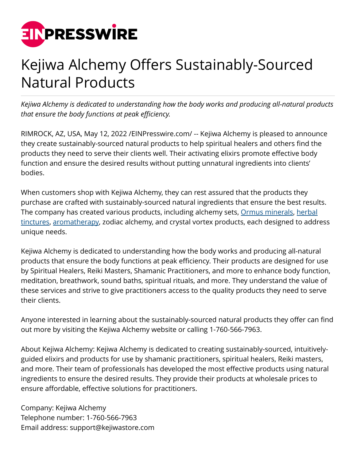

## Kejiwa Alchemy Offers Sustainably-Sourced Natural Products

*Kejiwa Alchemy is dedicated to understanding how the body works and producing all-natural products that ensure the body functions at peak efficiency.*

RIMROCK, AZ, USA, May 12, 2022 [/EINPresswire.com](http://www.einpresswire.com)/ -- Kejiwa Alchemy is pleased to announce they create sustainably-sourced natural products to help spiritual healers and others find the products they need to serve their clients well. Their activating elixirs promote effective body function and ensure the desired results without putting unnatural ingredients into clients' bodies.

When customers shop with Kejiwa Alchemy, they can rest assured that the products they purchase are crafted with sustainably-sourced natural ingredients that ensure the best results. The company has created various products, including alchemy sets, [Ormus minerals](https://kejiwastore.com/collections/ormus-minerals-1), [herbal](https://kejiwastore.com/collections/herbal-tinctures-1) [tinctures](https://kejiwastore.com/collections/herbal-tinctures-1), [aromatherapy](https://kejiwastore.com/collections/botanical-aromatics-1), zodiac alchemy, and crystal vortex products, each designed to address unique needs.

Kejiwa Alchemy is dedicated to understanding how the body works and producing all-natural products that ensure the body functions at peak efficiency. Their products are designed for use by Spiritual Healers, Reiki Masters, Shamanic Practitioners, and more to enhance body function, meditation, breathwork, sound baths, spiritual rituals, and more. They understand the value of these services and strive to give practitioners access to the quality products they need to serve their clients.

Anyone interested in learning about the sustainably-sourced natural products they offer can find out more by visiting the Kejiwa Alchemy website or calling 1-760-566-7963.

About Kejiwa Alchemy: Kejiwa Alchemy is dedicated to creating sustainably-sourced, intuitivelyguided elixirs and products for use by shamanic practitioners, spiritual healers, Reiki masters, and more. Their team of professionals has developed the most effective products using natural ingredients to ensure the desired results. They provide their products at wholesale prices to ensure affordable, effective solutions for practitioners.

Company: Kejiwa Alchemy Telephone number: 1-760-566-7963 Email address: support@kejiwastore.com